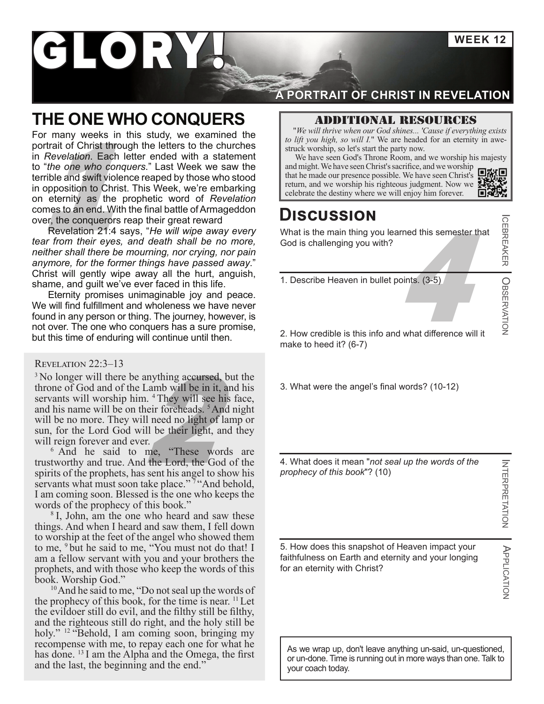**WEEK 12**

# GLORY

### **THE ONE WHO CONQUERS**

Figure 1.1 and we worship so let's start the party now.<br>
"*the one who conquers."* Last Week we saw the<br>
rrible and swift violence reaped by those who stood<br>
opposition to Christ. This Week, we're embarking<br>
neternity as t For many weeks in this study, we examined the portrait of Christ through the letters to the churches in *Revelation*. Each letter ended with a statement to "*the one who conquers*." Last Week we saw the terrible and swift violence reaped by those who stood in opposition to Christ. This Week, we're embarking on eternity as the prophetic word of *Revelation* comes to an end. With the final battle of Armageddon over, the conquerors reap their great reward

Revelation 21:4 says, "*He will wipe away every tear from their eyes, and death shall be no more, neither shall there be mourning, nor crying, nor pain anymore, for the former things have passed away*." Christ will gently wipe away all the hurt, anguish, shame, and guilt we've ever faced in this life.

Eternity promises unimaginable joy and peace. We will find fulfillment and wholeness we have never found in any person or thing. The journey, however, is not over. The one who conquers has a sure promise, but this time of enduring will continue until then.

#### Revelation 22:3–13

Inything accursed, but<br>
Lamb will be in it, and<br>
I. <sup>4</sup> They will see his 1<br>
leir foreheads. <sup>5</sup> And n<br>
I need no light of lam<br>
II be their light, and<br>
r.<br>
r.<br>
me, "These words <sup>3</sup> No longer will there be anything accursed, but the throne of God and of the Lamb will be in it, and his servants will worship him. <sup>4</sup> They will see his face, and his name will be on their foreheads. 5And night will be no more. They will need no light of lamp or sun, for the Lord God will be their light, and they will reign forever and ever.

<sup>6</sup> And he said to me, "These words are trustworthy and true. And the Lord, the God of the spirits of the prophets, has sent his angel to show his servants what must soon take place."  $\frac{1}{7}$ "And behold, I am coming soon. Blessed is the one who keeps the words of the prophecy of this book."

<sup>8</sup>I, John, am the one who heard and saw these things. And when I heard and saw them, I fell down to worship at the feet of the angel who showed them to me, <sup>9</sup> but he said to me, "You must not do that! I am a fellow servant with you and your brothers the prophets, and with those who keep the words of this book. Worship God."

<sup>10</sup> And he said to me, "Do not seal up the words of the prophecy of this book, for the time is near.  $\frac{11}{1}$  Let the evildoer still do evil, and the filthy still be filthy, and the righteous still do right, and the holy still be holy." <sup>12</sup> "Behold, I am coming soon, bringing my recompense with me, to repay each one for what he has done. <sup>13</sup> I am the Alpha and the Omega, the first and the last, the beginning and the end."

### **A PORTRAIT OF CHRIST IN REVELATION**

#### Additional resources

"*We will thrive when our God shines... 'Cause if everything exists to lift you high, so will I.*" We are headed for an eternity in awestruck worship, so let's start the party now.

 We have seen God's Throne Room, and we worship his majesty and might. We have seen Christ's sacrifice, and we worship that he made our presence possible. We have seen Christ'[s](https://youtu.be/uv26Qmm_izg)  $\Box$   $\Box$   $\Box$   $\Box$  return, and we worship his righteous judgment. Now we  $\Box$ 首都縣

### **Discussion**

4 What is the main thing you learned this semester that God is challenging you with?

1. Describe Heaven in bullet points. (3-5)

2. How credible is this info and what difference will it make to heed it? (6-7)

3. What were the angel's final words? (10-12)

4. What does it mean "*not seal up the words of the prophecy of this book*"? (10)

5. How does this snapshot of Heaven impact your faithfulness on Earth and eternity and your longing

for an eternity with Christ?

**INTERPRETATION** NTERPRETATION

 $\overline{\phantom{a}}$ 

CEBREAKER

O

BSERVATION

APPLICATION APPLICATION

As we wrap up, don't leave anything un-said, un-questioned, or un-done. Time is running out in more ways than one. Talk to your coach today.